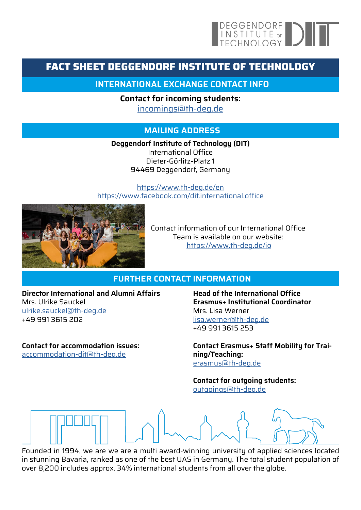# DEGGENDORF<br>
INSTITUTE OF<br>
TECHNOLOGY

## **FACT SHEET DEGGENDORF INSTITUTE OF TECHNOLOGY**

**INTERNATIONAL EXCHANGE CONTACT INFO**

**Contact for incoming students:**  [incomings@th-deg.de](mailto:incomings%40th-deg.de?subject=)

### **MAILING ADDRESS**

**Deggendorf Institute of Technology (DIT)** International Office Dieter-Görlitz-Platz 1 94469 Deggendorf, Germany

<https://www.th-deg.de/en> <https://www.facebook.com/dit.international.office>



Contact information of our International Office Team is available on our website: <https://www.th-deg.de/io>

#### **FURTHER CONTACT INFORMATION**

**Director International and Alumni Affairs** Mrs. Ulrike Sauckel [ulrike.sauckel@th-deg.de](mailto:ulrike.sauckel%40th-deg.de%20?subject=) +49 991 3615 202

**Contact for accommodation issues:** [accommodation-dit@th-deg.de](mailto:accommodation-dit%40th-deg.de?subject=)

**Head of the International Office Erasmus+ Institutional Coordinator** Mrs. Lisa Werner [lisa.werner@th-deg.de](mailto:lisa.werner%40th-deg.de?subject=) +49 991 3615 253

**Contact Erasmus+ Staff Mobility for Training/Teaching:** [erasmus@th-deg.de](mailto:erasmus%40th-deg.de?subject=)

**Contact for outgoing students:** [outgoings@th-deg.de](mailto:outgoings%40th-deg.de?subject=)

Founded in 1994, we are we are a multi award-winning university of applied sciences located

in stunning Bavaria, ranked as one of the best UAS in Germany. The total student population of over 8,200 includes approx. 34% international students from all over the globe.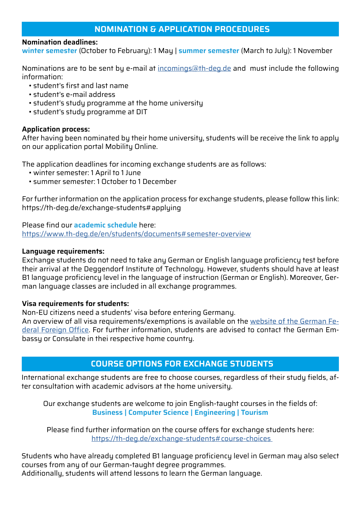#### **NOMINATION & APPLICATION PROCEDURES**

#### **Nomination deadlines:**

**winter semester** (October to February): 1 May | **summer semester** (March to July): 1 November

Nominations are to be sent by e-mail at [incomings@th-deg.de](mailto:incomings%40th-deg.de?subject=) and must include the following information:

- student's first and last name
- student's e-mail address
- student's study programme at the home university
- student's study programme at DIT

#### **Application process:**

After having been nominated by their home university, students will be receive the link to apply on our application portal Mobility Online.

The application deadlines for incoming exchange students are as follows:

- winter semester: 1 April to 1 June
- summer semester: 1 October to 1 December

For further information on the application process for exchange students, please follow this link: https://th-deg.de/exchange-students#applying

Please find our **academic schedule** here: [https://www.th-deg.de/en/students/documents#semester-overview](https://www.th-deg.de/en/students/documents#semester-overview )

#### **Language requirements:**

Exchange students do not need to take any German or English language proficiency test before their arrival at the Deggendorf Institute of Technology. However, students should have at least B1 language proficiency level in the language of instruction (German or English). Moreover, German language classes are included in all exchange programmes.

#### **Visa requirements for students:**

Non-EU citizens need a students' visa before entering Germany.

An overview of all visa requirements/exemptions is available on the [website of the German Fe](https://www.auswaertiges-amt.de/en/visa-service/-/231148)[deral Foreign Office](https://www.auswaertiges-amt.de/en/visa-service/-/231148). For further information, students are advised to contact the German Embassy or Consulate in thei respective home country.

#### **COURSE OPTIONS FOR EXCHANGE STUDENTS**

International exchange students are free to choose courses, regardless of their study fields, after consultation with academic advisors at the home university.

Our exchange students are welcome to join English-taught courses in the fields of: **Business | Computer Science | Engineering | Tourism**

Please find further information on the course offers for exchange students here: [https://th-deg.de/exchange-students#course-choices](https://th-deg.de/exchange-students#course-choices  ) 

Students who have already completed B1 language proficiency level in German may also select courses from any of our German-taught degree programmes. Additionally, students will attend lessons to learn the German language.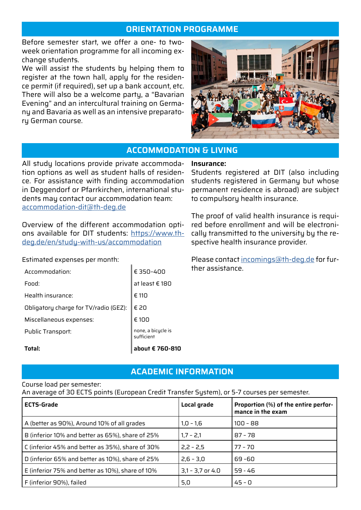#### **ORIENTATION PROGRAMME**

Before semester start, we offer a one- to twoweek orientation programme for all incoming exchange students.

We will assist the students by helping them to register at the town hall, apply for the residence permit (if required), set up a bank account, etc. There will also be a welcome party, a "Bavarian Evening" and an intercultural training on Germany and Bavaria as well as an intensive preparatory German course.



#### **ACCOMMODATION & LIVING**

All study locations provide private accommodation options as well as student halls of residence. For assistance with finding accommodation in Deggendorf or Pfarrkirchen, international students may contact our accommodation team: [accommodation-dit@th-deg.de](mailto:accommodation-dit%40th-deg.de?subject=)

Overview of the different accommodation options available for DIT students: [https://www.th](https://www.th-deg.de/en/study-with-us/accommodation)[deg.de/en/study-with-us/accommodation](https://www.th-deg.de/en/study-with-us/accommodation)

Estimated expenses per month:

|                                       | about € 760-810                  |
|---------------------------------------|----------------------------------|
| Public Transport:                     | none, a bicycle is<br>sufficient |
| Miscellaneous expenses:               | € 100                            |
| Obligatory charge for TV/radio (GEZ): | € 20                             |
| Health insurance:                     | € 110                            |
| Food:                                 | at least $\epsilon$ 180          |
| Accommodation:                        | € 350-400                        |

#### **Insurance:**

Students registered at DIT (also including students registered in Germany but whose permanent residence is abroad) are subject to compulsory health insurance.

The proof of valid health insurance is required before enrollment and will be electronically transmitted to the university by the respective health insurance provider.

Please contact [incomings@th-deg.de](mailto:incomings%40th-deg.de?subject=) for further assistance.

#### **ACADEMIC INFORMATION**

#### Course load per semester:

An average of 30 ECTS points (European Credit Transfer System), or 5-7 courses per semester.

| <b>ECTS-Grade</b>                                | Local grade        | Proportion (%) of the entire perfor-<br>mance in the exam |
|--------------------------------------------------|--------------------|-----------------------------------------------------------|
| A (better as 90%), Around 10% of all grades      | $1,0 - 1,6$        | $100 - 88$                                                |
| B (inferior 10% and better as 65%), share of 25% | $1,7 - 2,1$        | $87 - 78$                                                 |
| C (inferior 45% and better as 35%), share of 30% | $2,2 - 2,5$        | $77 - 70$                                                 |
| D (inferior 65% and better as 10%), share of 25% | $2,6 - 3,0$        | 69 - 60                                                   |
| E (inferior 75% and better as 10%), share of 10% | $3,1 - 3,7$ or 4.0 | $59 - 46$                                                 |
| F (inferior 90%), failed                         | 5,0                | $45 - 0$                                                  |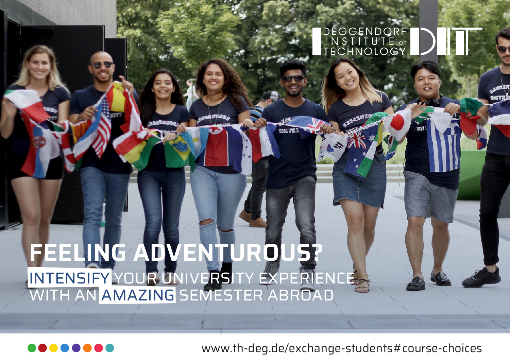# **FEELING ADVENTUROUS?** INTENSIFY YOUR UNIVERSITY EXPERIENCE WITH AN AMAZING SEMESTER ABROAD



www.th-deg.de/exchange-students#course-choices

DÉGGENDORF<br>|INSTITUTE ☞<br>|TECHNOLOGY

 $\frac{1}{2}$